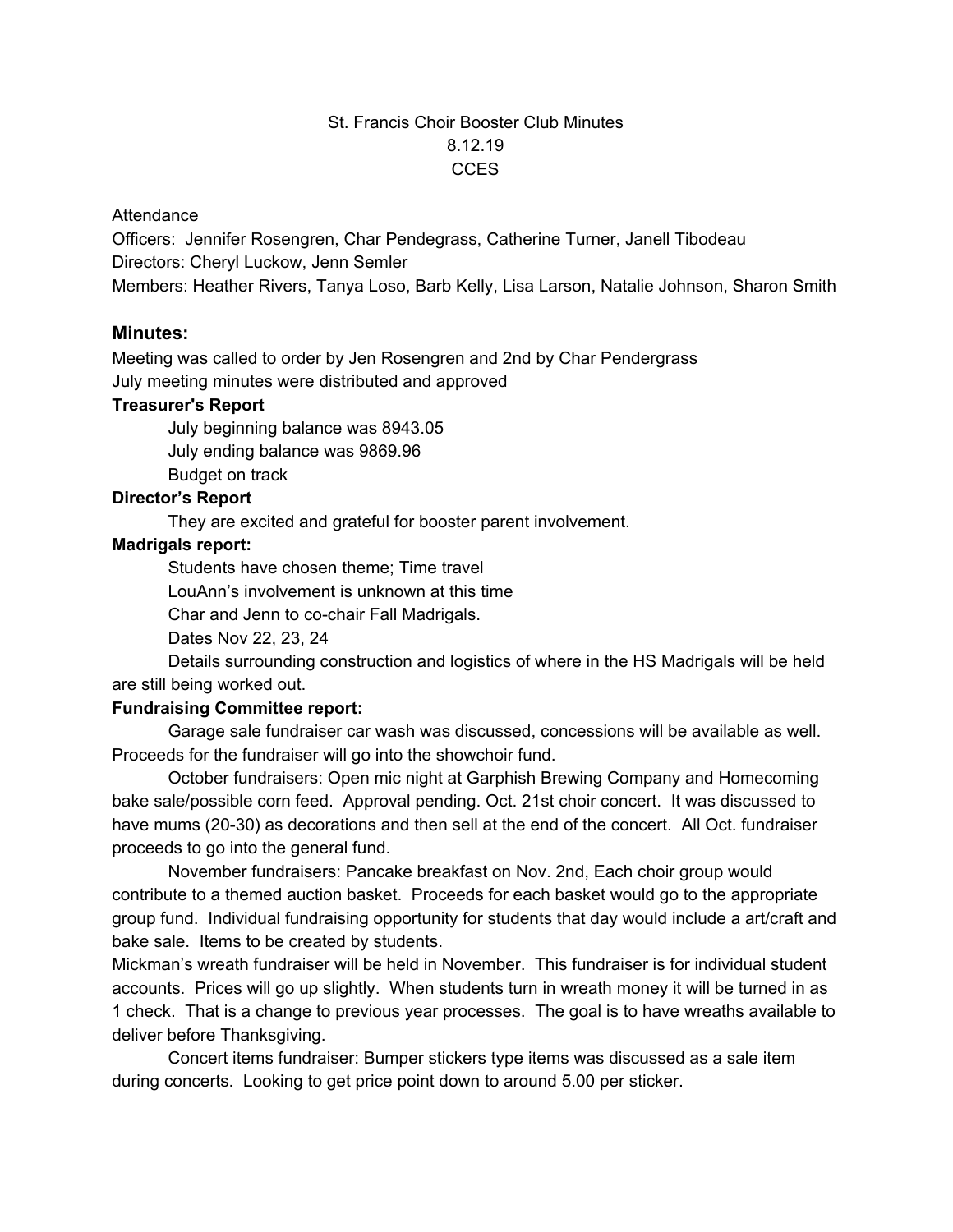# St. Francis Choir Booster Club Minutes 8.12.19 CCES

### **Attendance**

Officers: Jennifer Rosengren, Char Pendegrass, Catherine Turner, Janell Tibodeau Directors: Cheryl Luckow, Jenn Semler Members: Heather Rivers, Tanya Loso, Barb Kelly, Lisa Larson, Natalie Johnson, Sharon Smith

### **Minutes:**

Meeting was called to order by Jen Rosengren and 2nd by Char Pendergrass July meeting minutes were distributed and approved

### **Treasurer's Report**

July beginning balance was 8943.05

July ending balance was 9869.96

Budget on track

## **Director's Report**

They are excited and grateful for booster parent involvement.

# **Madrigals report:**

Students have chosen theme; Time travel

LouAnn's involvement is unknown at this time

Char and Jenn to co-chair Fall Madrigals.

Dates Nov 22, 23, 24

Details surrounding construction and logistics of where in the HS Madrigals will be held are still being worked out.

### **Fundraising Committee report:**

Garage sale fundraiser car wash was discussed, concessions will be available as well. Proceeds for the fundraiser will go into the showchoir fund.

October fundraisers: Open mic night at Garphish Brewing Company and Homecoming bake sale/possible corn feed. Approval pending. Oct. 21st choir concert. It was discussed to have mums (20-30) as decorations and then sell at the end of the concert. All Oct. fundraiser proceeds to go into the general fund.

November fundraisers: Pancake breakfast on Nov. 2nd, Each choir group would contribute to a themed auction basket. Proceeds for each basket would go to the appropriate group fund. Individual fundraising opportunity for students that day would include a art/craft and bake sale. Items to be created by students.

Mickman's wreath fundraiser will be held in November. This fundraiser is for individual student accounts. Prices will go up slightly. When students turn in wreath money it will be turned in as 1 check. That is a change to previous year processes. The goal is to have wreaths available to deliver before Thanksgiving.

Concert items fundraiser: Bumper stickers type items was discussed as a sale item during concerts. Looking to get price point down to around 5.00 per sticker.